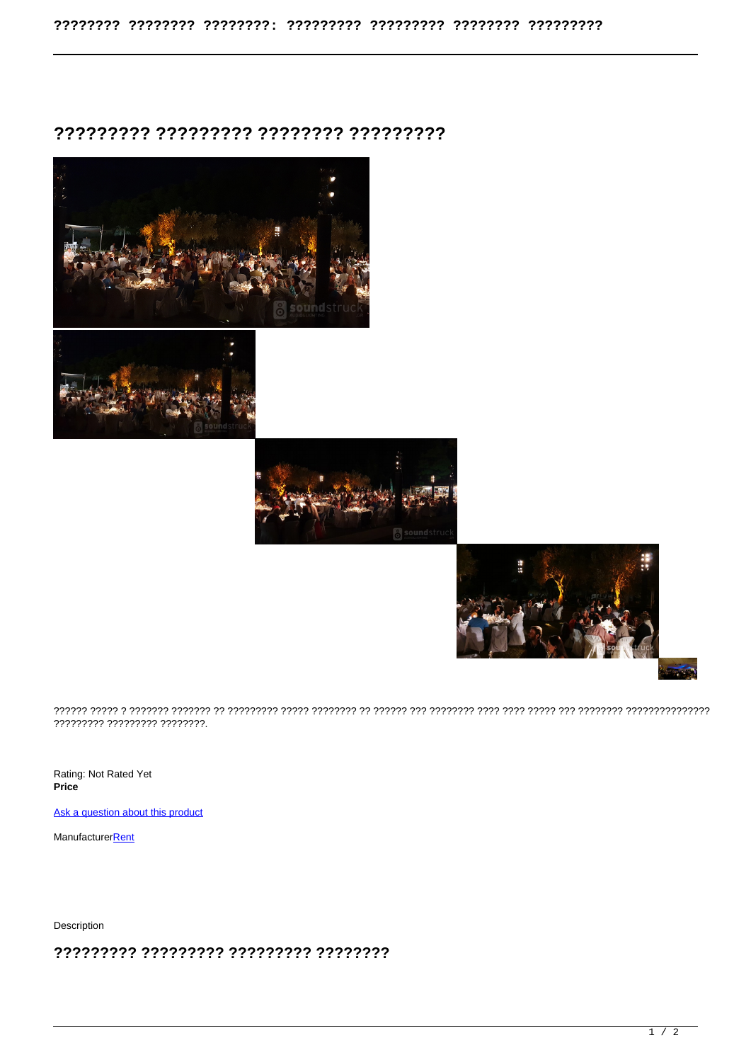## ???????? ???????? ??????? ?????????







????????? ????????? ????????.

Rating: Not Rated Yet Price

Ask a question about this product

Manufacturer**Rent** 

Description

????????? ????????? ????????? ????????